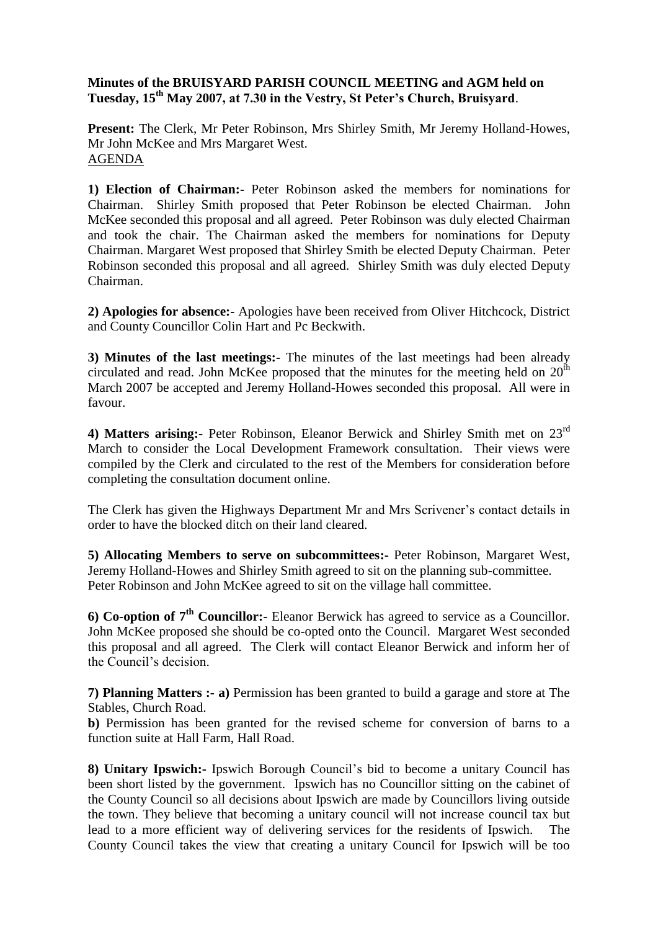## **Minutes of the BRUISYARD PARISH COUNCIL MEETING and AGM held on Tuesday, 15th May 2007, at 7.30 in the Vestry, St Peter's Church, Bruisyard**.

**Present:** The Clerk, Mr Peter Robinson, Mrs Shirley Smith, Mr Jeremy Holland-Howes, Mr John McKee and Mrs Margaret West. AGENDA

**1) Election of Chairman:-** Peter Robinson asked the members for nominations for Chairman. Shirley Smith proposed that Peter Robinson be elected Chairman. John McKee seconded this proposal and all agreed. Peter Robinson was duly elected Chairman and took the chair. The Chairman asked the members for nominations for Deputy Chairman. Margaret West proposed that Shirley Smith be elected Deputy Chairman. Peter Robinson seconded this proposal and all agreed. Shirley Smith was duly elected Deputy Chairman.

**2) Apologies for absence:-** Apologies have been received from Oliver Hitchcock, District and County Councillor Colin Hart and Pc Beckwith.

**3) Minutes of the last meetings:-** The minutes of the last meetings had been already circulated and read. John McKee proposed that the minutes for the meeting held on  $20<sup>th</sup>$ March 2007 be accepted and Jeremy Holland-Howes seconded this proposal. All were in favour.

**4) Matters arising:-** Peter Robinson, Eleanor Berwick and Shirley Smith met on 23rd March to consider the Local Development Framework consultation. Their views were compiled by the Clerk and circulated to the rest of the Members for consideration before completing the consultation document online.

The Clerk has given the Highways Department Mr and Mrs Scrivener's contact details in order to have the blocked ditch on their land cleared.

**5) Allocating Members to serve on subcommittees:-** Peter Robinson, Margaret West, Jeremy Holland-Howes and Shirley Smith agreed to sit on the planning sub-committee. Peter Robinson and John McKee agreed to sit on the village hall committee.

**6) Co-option of 7th Councillor:-** Eleanor Berwick has agreed to service as a Councillor. John McKee proposed she should be co-opted onto the Council. Margaret West seconded this proposal and all agreed. The Clerk will contact Eleanor Berwick and inform her of the Council's decision.

**7) Planning Matters :- a)** Permission has been granted to build a garage and store at The Stables, Church Road.

**b)** Permission has been granted for the revised scheme for conversion of barns to a function suite at Hall Farm, Hall Road.

**8) Unitary Ipswich:-** Ipswich Borough Council's bid to become a unitary Council has been short listed by the government. Ipswich has no Councillor sitting on the cabinet of the County Council so all decisions about Ipswich are made by Councillors living outside the town. They believe that becoming a unitary council will not increase council tax but lead to a more efficient way of delivering services for the residents of Ipswich. The County Council takes the view that creating a unitary Council for Ipswich will be too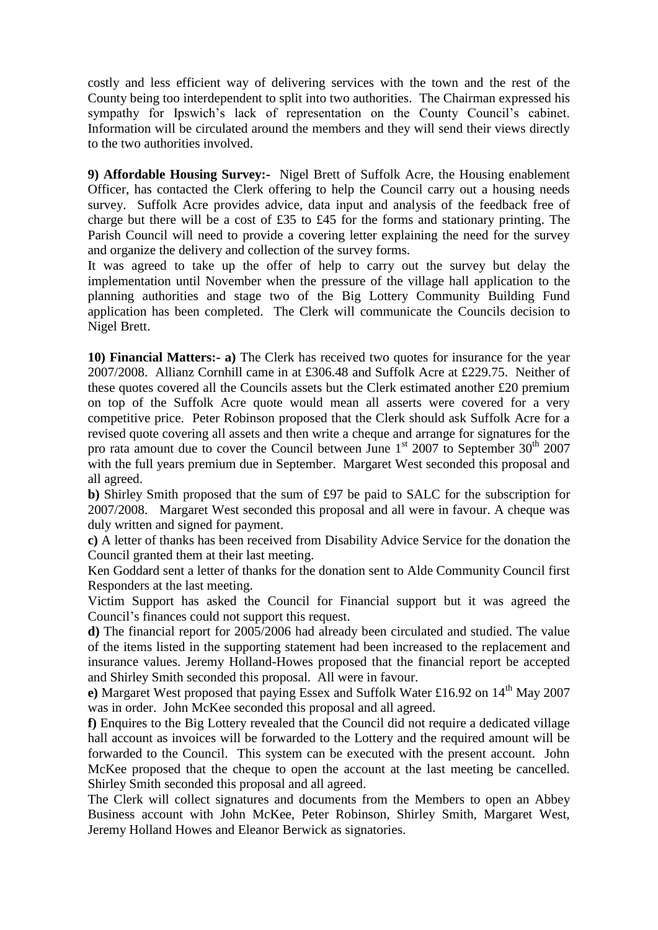costly and less efficient way of delivering services with the town and the rest of the County being too interdependent to split into two authorities. The Chairman expressed his sympathy for Ipswich's lack of representation on the County Council's cabinet. Information will be circulated around the members and they will send their views directly to the two authorities involved.

**9) Affordable Housing Survey:-** Nigel Brett of Suffolk Acre, the Housing enablement Officer, has contacted the Clerk offering to help the Council carry out a housing needs survey. Suffolk Acre provides advice, data input and analysis of the feedback free of charge but there will be a cost of £35 to £45 for the forms and stationary printing. The Parish Council will need to provide a covering letter explaining the need for the survey and organize the delivery and collection of the survey forms.

It was agreed to take up the offer of help to carry out the survey but delay the implementation until November when the pressure of the village hall application to the planning authorities and stage two of the Big Lottery Community Building Fund application has been completed. The Clerk will communicate the Councils decision to Nigel Brett.

**10) Financial Matters:- a)** The Clerk has received two quotes for insurance for the year 2007/2008. Allianz Cornhill came in at £306.48 and Suffolk Acre at £229.75. Neither of these quotes covered all the Councils assets but the Clerk estimated another £20 premium on top of the Suffolk Acre quote would mean all asserts were covered for a very competitive price. Peter Robinson proposed that the Clerk should ask Suffolk Acre for a revised quote covering all assets and then write a cheque and arrange for signatures for the pro rata amount due to cover the Council between June  $1<sup>st</sup>$  2007 to September  $30<sup>th</sup>$  2007 with the full years premium due in September. Margaret West seconded this proposal and all agreed.

**b)** Shirley Smith proposed that the sum of £97 be paid to SALC for the subscription for 2007/2008. Margaret West seconded this proposal and all were in favour. A cheque was duly written and signed for payment.

**c)** A letter of thanks has been received from Disability Advice Service for the donation the Council granted them at their last meeting.

Ken Goddard sent a letter of thanks for the donation sent to Alde Community Council first Responders at the last meeting.

Victim Support has asked the Council for Financial support but it was agreed the Council's finances could not support this request.

**d)** The financial report for 2005/2006 had already been circulated and studied. The value of the items listed in the supporting statement had been increased to the replacement and insurance values. Jeremy Holland-Howes proposed that the financial report be accepted and Shirley Smith seconded this proposal. All were in favour.

**e**) Margaret West proposed that paying Essex and Suffolk Water £16.92 on 14<sup>th</sup> May 2007 was in order. John McKee seconded this proposal and all agreed.

**f)** Enquires to the Big Lottery revealed that the Council did not require a dedicated village hall account as invoices will be forwarded to the Lottery and the required amount will be forwarded to the Council. This system can be executed with the present account. John McKee proposed that the cheque to open the account at the last meeting be cancelled. Shirley Smith seconded this proposal and all agreed.

The Clerk will collect signatures and documents from the Members to open an Abbey Business account with John McKee, Peter Robinson, Shirley Smith, Margaret West, Jeremy Holland Howes and Eleanor Berwick as signatories.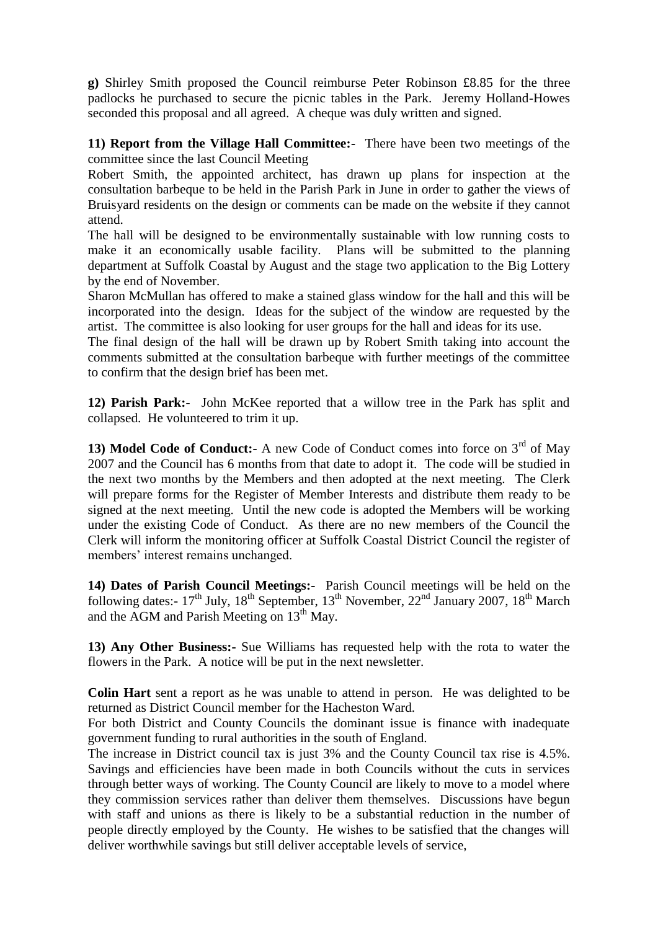**g)** Shirley Smith proposed the Council reimburse Peter Robinson £8.85 for the three padlocks he purchased to secure the picnic tables in the Park. Jeremy Holland-Howes seconded this proposal and all agreed. A cheque was duly written and signed.

**11) Report from the Village Hall Committee:-** There have been two meetings of the committee since the last Council Meeting

Robert Smith, the appointed architect, has drawn up plans for inspection at the consultation barbeque to be held in the Parish Park in June in order to gather the views of Bruisyard residents on the design or comments can be made on the website if they cannot attend.

The hall will be designed to be environmentally sustainable with low running costs to make it an economically usable facility. Plans will be submitted to the planning department at Suffolk Coastal by August and the stage two application to the Big Lottery by the end of November.

Sharon McMullan has offered to make a stained glass window for the hall and this will be incorporated into the design. Ideas for the subject of the window are requested by the artist. The committee is also looking for user groups for the hall and ideas for its use.

The final design of the hall will be drawn up by Robert Smith taking into account the comments submitted at the consultation barbeque with further meetings of the committee to confirm that the design brief has been met.

**12) Parish Park:-** John McKee reported that a willow tree in the Park has split and collapsed. He volunteered to trim it up.

**13) Model Code of Conduct:-** A new Code of Conduct comes into force on 3<sup>rd</sup> of May 2007 and the Council has 6 months from that date to adopt it. The code will be studied in the next two months by the Members and then adopted at the next meeting. The Clerk will prepare forms for the Register of Member Interests and distribute them ready to be signed at the next meeting. Until the new code is adopted the Members will be working under the existing Code of Conduct. As there are no new members of the Council the Clerk will inform the monitoring officer at Suffolk Coastal District Council the register of members' interest remains unchanged.

**14) Dates of Parish Council Meetings:-** Parish Council meetings will be held on the following dates:-  $17^{th}$  July,  $18^{th}$  September,  $13^{th}$  November,  $22^{nd}$  January 2007,  $18^{th}$  March and the  $\overline{AGM}$  and Parish Meeting on 13<sup>th</sup> May.

**13) Any Other Business:-** Sue Williams has requested help with the rota to water the flowers in the Park. A notice will be put in the next newsletter.

**Colin Hart** sent a report as he was unable to attend in person. He was delighted to be returned as District Council member for the Hacheston Ward.

For both District and County Councils the dominant issue is finance with inadequate government funding to rural authorities in the south of England.

The increase in District council tax is just 3% and the County Council tax rise is 4.5%. Savings and efficiencies have been made in both Councils without the cuts in services through better ways of working. The County Council are likely to move to a model where they commission services rather than deliver them themselves. Discussions have begun with staff and unions as there is likely to be a substantial reduction in the number of people directly employed by the County. He wishes to be satisfied that the changes will deliver worthwhile savings but still deliver acceptable levels of service,